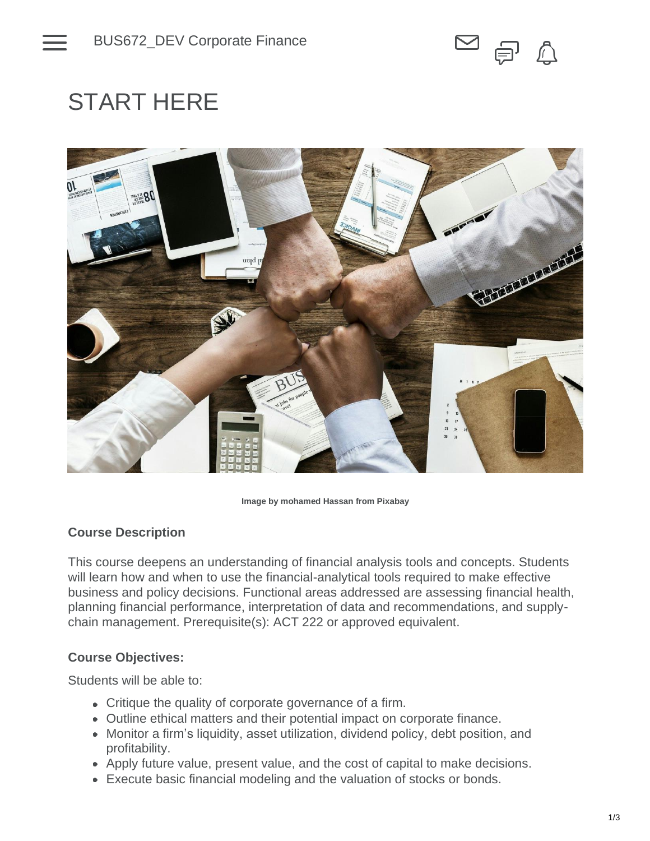

# START HERE



#### **Image by mohamed Hassan from Pixabay**

## **Course Description**

This course deepens an understanding of financial analysis tools and concepts. Students will learn how and when to use the financial-analytical tools required to make effective business and policy decisions. Functional areas addressed are assessing financial health, planning financial performance, interpretation of data and recommendations, and supplychain management. Prerequisite(s): ACT 222 or approved equivalent.

## **Course Objectives:**

Students will be able to:

- Critique the quality of corporate governance of a firm.
- Outline ethical matters and their potential impact on corporate finance.
- Monitor a firm's liquidity, asset utilization, dividend policy, debt position, and profitability.
- Apply future value, present value, and the cost of capital to make decisions.
- Execute basic financial modeling and the valuation of stocks or bonds.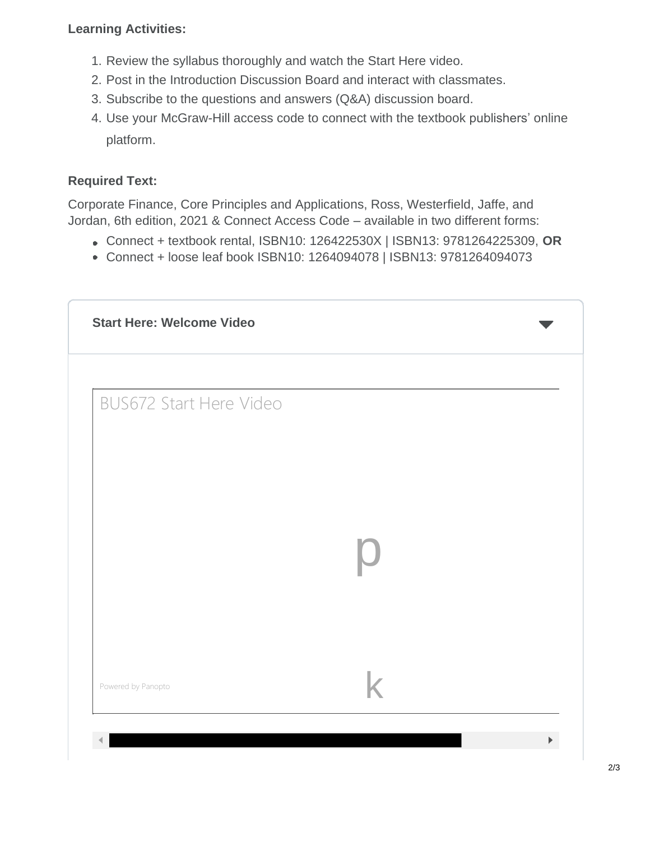# **Learning Activities:**

- 1. Review the syllabus thoroughly and watch the Start Here video.
- 2. Post in the Introduction Discussion Board and interact with classmates.
- 3. Subscribe to the questions and answers (Q&A) discussion board.
- 4. Use your McGraw-Hill access code to connect with the textbook publishers' online platform.

# **Required Text:**

Corporate Finance, Core Principles and Applications, Ross, Westerfield, Jaffe, and Jordan, 6th edition, 2021 & Connect Access Code – available in two different forms:

- Connect + textbook rental, ISBN10: 126422530X | ISBN13: 9781264225309, **OR**
- Connect + loose leaf book ISBN10: 1264094078 | ISBN13: 9781264094073

| <b>BUS672 Start Here Video</b> |  |
|--------------------------------|--|
|                                |  |
|                                |  |
|                                |  |
|                                |  |
|                                |  |
|                                |  |
|                                |  |
|                                |  |
| Powered by Panopto             |  |
|                                |  |